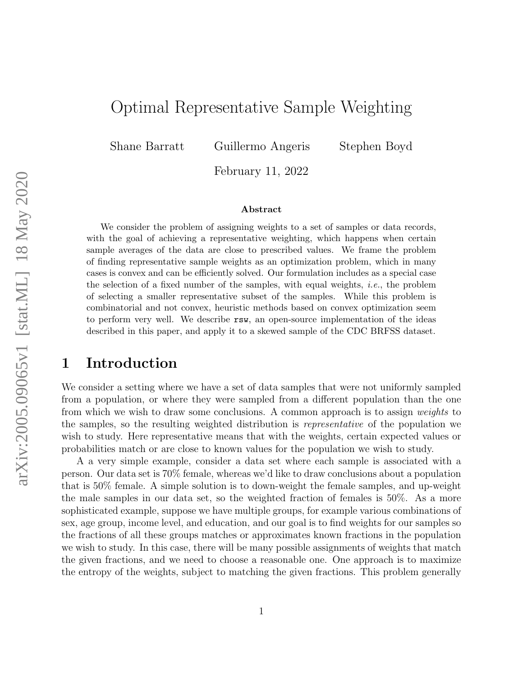# Optimal Representative Sample Weighting

Shane Barratt Guillermo Angeris Stephen Boyd

February 11, 2022

#### Abstract

We consider the problem of assigning weights to a set of samples or data records, with the goal of achieving a representative weighting, which happens when certain sample averages of the data are close to prescribed values. We frame the problem of finding representative sample weights as an optimization problem, which in many cases is convex and can be efficiently solved. Our formulation includes as a special case the selection of a fixed number of the samples, with equal weights, i.e., the problem of selecting a smaller representative subset of the samples. While this problem is combinatorial and not convex, heuristic methods based on convex optimization seem to perform very well. We describe rsw, an open-source implementation of the ideas described in this paper, and apply it to a skewed sample of the CDC BRFSS dataset.

### 1 Introduction

We consider a setting where we have a set of data samples that were not uniformly sampled from a population, or where they were sampled from a different population than the one from which we wish to draw some conclusions. A common approach is to assign weights to the samples, so the resulting weighted distribution is representative of the population we wish to study. Here representative means that with the weights, certain expected values or probabilities match or are close to known values for the population we wish to study.

A a very simple example, consider a data set where each sample is associated with a person. Our data set is 70% female, whereas we'd like to draw conclusions about a population that is 50% female. A simple solution is to down-weight the female samples, and up-weight the male samples in our data set, so the weighted fraction of females is 50%. As a more sophisticated example, suppose we have multiple groups, for example various combinations of sex, age group, income level, and education, and our goal is to find weights for our samples so the fractions of all these groups matches or approximates known fractions in the population we wish to study. In this case, there will be many possible assignments of weights that match the given fractions, and we need to choose a reasonable one. One approach is to maximize the entropy of the weights, subject to matching the given fractions. This problem generally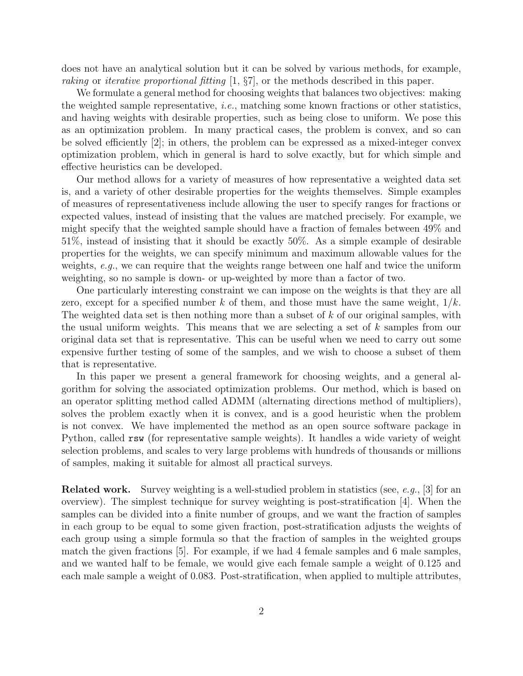does not have an analytical solution but it can be solved by various methods, for example, raking or iterative proportional fitting [\[1,](#page-18-0) §7], or the methods described in this paper.

We formulate a general method for choosing weights that balances two objectives: making the weighted sample representative, *i.e.*, matching some known fractions or other statistics, and having weights with desirable properties, such as being close to uniform. We pose this as an optimization problem. In many practical cases, the problem is convex, and so can be solved efficiently [\[2\]](#page-18-1); in others, the problem can be expressed as a mixed-integer convex optimization problem, which in general is hard to solve exactly, but for which simple and effective heuristics can be developed.

Our method allows for a variety of measures of how representative a weighted data set is, and a variety of other desirable properties for the weights themselves. Simple examples of measures of representativeness include allowing the user to specify ranges for fractions or expected values, instead of insisting that the values are matched precisely. For example, we might specify that the weighted sample should have a fraction of females between 49% and 51%, instead of insisting that it should be exactly 50%. As a simple example of desirable properties for the weights, we can specify minimum and maximum allowable values for the weights, e.g., we can require that the weights range between one half and twice the uniform weighting, so no sample is down- or up-weighted by more than a factor of two.

One particularly interesting constraint we can impose on the weights is that they are all zero, except for a specified number k of them, and those must have the same weight,  $1/k$ . The weighted data set is then nothing more than a subset of  $k$  of our original samples, with the usual uniform weights. This means that we are selecting a set of k samples from our original data set that is representative. This can be useful when we need to carry out some expensive further testing of some of the samples, and we wish to choose a subset of them that is representative.

In this paper we present a general framework for choosing weights, and a general algorithm for solving the associated optimization problems. Our method, which is based on an operator splitting method called ADMM (alternating directions method of multipliers), solves the problem exactly when it is convex, and is a good heuristic when the problem is not convex. We have implemented the method as an open source software package in Python, called rsw (for representative sample weights). It handles a wide variety of weight selection problems, and scales to very large problems with hundreds of thousands or millions of samples, making it suitable for almost all practical surveys.

**Related work.** Survey weighting is a well-studied problem in statistics (see, e.g., [\[3\]](#page-18-2) for an overview). The simplest technique for survey weighting is post-stratification [\[4\]](#page-18-3). When the samples can be divided into a finite number of groups, and we want the fraction of samples in each group to be equal to some given fraction, post-stratification adjusts the weights of each group using a simple formula so that the fraction of samples in the weighted groups match the given fractions [\[5\]](#page-18-4). For example, if we had 4 female samples and 6 male samples, and we wanted half to be female, we would give each female sample a weight of 0.125 and each male sample a weight of 0.083. Post-stratification, when applied to multiple attributes,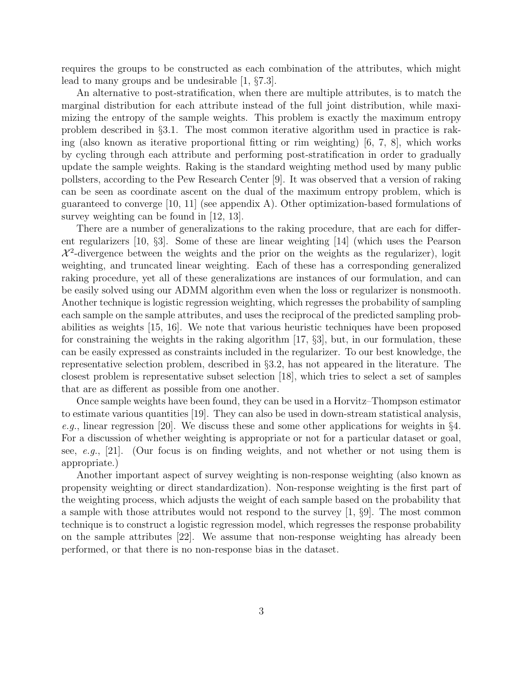requires the groups to be constructed as each combination of the attributes, which might lead to many groups and be undesirable [\[1,](#page-18-0) §7.3].

An alternative to post-stratification, when there are multiple attributes, is to match the marginal distribution for each attribute instead of the full joint distribution, while maximizing the entropy of the sample weights. This problem is exactly the maximum entropy problem described in §[3.1.](#page-5-0) The most common iterative algorithm used in practice is raking (also known as iterative proportional fitting or rim weighting) [\[6,](#page-18-5) [7,](#page-18-6) [8\]](#page-18-7), which works by cycling through each attribute and performing post-stratification in order to gradually update the sample weights. Raking is the standard weighting method used by many public pollsters, according to the Pew Research Center [\[9\]](#page-18-8). It was observed that a version of raking can be seen as coordinate ascent on the dual of the maximum entropy problem, which is guaranteed to converge [\[10,](#page-18-9) [11\]](#page-18-10) (see appendix [A\)](#page-22-0). Other optimization-based formulations of survey weighting can be found in [\[12,](#page-18-11) [13\]](#page-18-12).

There are a number of generalizations to the raking procedure, that are each for different regularizers [\[10,](#page-18-9) §3]. Some of these are linear weighting [\[14\]](#page-18-13) (which uses the Pearson  $\mathcal{X}^2$ -divergence between the weights and the prior on the weights as the regularizer), logit weighting, and truncated linear weighting. Each of these has a corresponding generalized raking procedure, yet all of these generalizations are instances of our formulation, and can be easily solved using our ADMM algorithm even when the loss or regularizer is nonsmooth. Another technique is logistic regression weighting, which regresses the probability of sampling each sample on the sample attributes, and uses the reciprocal of the predicted sampling probabilities as weights [\[15,](#page-19-0) [16\]](#page-19-1). We note that various heuristic techniques have been proposed for constraining the weights in the raking algorithm  $[17, \S3]$  $[17, \S3]$ , but, in our formulation, these can be easily expressed as constraints included in the regularizer. To our best knowledge, the representative selection problem, described in §[3.2,](#page-6-0) has not appeared in the literature. The closest problem is representative subset selection [\[18\]](#page-19-3), which tries to select a set of samples that are as different as possible from one another.

Once sample weights have been found, they can be used in a Horvitz–Thompson estimator to estimate various quantities [\[19\]](#page-19-4). They can also be used in down-stream statistical analysis, e.g., linear regression [\[20\]](#page-19-5). We discuss these and some other applications for weights in  $\S4$ . For a discussion of whether weighting is appropriate or not for a particular dataset or goal, see, e.g., [\[21\]](#page-19-6). (Our focus is on finding weights, and not whether or not using them is appropriate.)

Another important aspect of survey weighting is non-response weighting (also known as propensity weighting or direct standardization). Non-response weighting is the first part of the weighting process, which adjusts the weight of each sample based on the probability that a sample with those attributes would not respond to the survey  $[1, \S 9]$  $[1, \S 9]$ . The most common technique is to construct a logistic regression model, which regresses the response probability on the sample attributes [\[22\]](#page-19-7). We assume that non-response weighting has already been performed, or that there is no non-response bias in the dataset.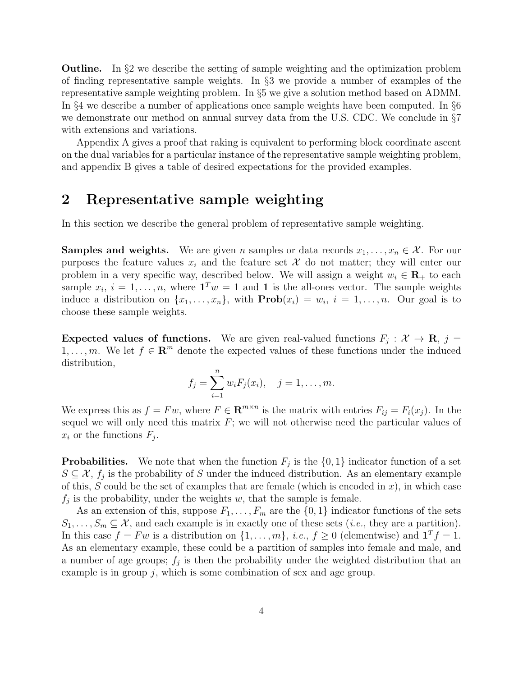Outline. In §[2](#page-3-0) we describe the setting of sample weighting and the optimization problem of finding representative sample weights. In §[3](#page-5-1) we provide a number of examples of the representative sample weighting problem. In §[5](#page-8-0) we give a solution method based on ADMM. In §[4](#page-7-0) we describe a number of applications once sample weights have been computed. In §[6](#page-11-0) we demonstrate our method on annual survey data from the U.S. CDC. We conclude in §[7](#page-15-0) with extensions and variations.

Appendix [A](#page-22-0) gives a proof that raking is equivalent to performing block coordinate ascent on the dual variables for a particular instance of the representative sample weighting problem, and appendix [B](#page-26-0) gives a table of desired expectations for the provided examples.

## <span id="page-3-0"></span>2 Representative sample weighting

In this section we describe the general problem of representative sample weighting.

**Samples and weights.** We are given n samples or data records  $x_1, \ldots, x_n \in \mathcal{X}$ . For our purposes the feature values  $x_i$  and the feature set X do not matter; they will enter our problem in a very specific way, described below. We will assign a weight  $w_i \in \mathbf{R}_+$  to each sample  $x_i$ ,  $i = 1, \ldots, n$ , where  $\mathbf{1}^T w = 1$  and **1** is the all-ones vector. The sample weights induce a distribution on  $\{x_1, \ldots, x_n\}$ , with  $\text{Prob}(x_i) = w_i$ ,  $i = 1, \ldots, n$ . Our goal is to choose these sample weights.

**Expected values of functions.** We are given real-valued functions  $F_j: \mathcal{X} \to \mathbf{R}, j =$  $1, \ldots, m$ . We let  $f \in \mathbb{R}^m$  denote the expected values of these functions under the induced distribution,

$$
f_j = \sum_{i=1}^n w_i F_j(x_i), \quad j = 1, ..., m.
$$

We express this as  $f = Fw$ , where  $F \in \mathbf{R}^{m \times n}$  is the matrix with entries  $F_{ij} = F_i(x_j)$ . In the sequel we will only need this matrix  $F$ ; we will not otherwise need the particular values of  $x_i$  or the functions  $F_j$ .

**Probabilities.** We note that when the function  $F_j$  is the  $\{0, 1\}$  indicator function of a set  $S \subseteq \mathcal{X}, f_j$  is the probability of S under the induced distribution. As an elementary example of this, S could be the set of examples that are female (which is encoded in x), in which case  $f_j$  is the probability, under the weights w, that the sample is female.

As an extension of this, suppose  $F_1, \ldots, F_m$  are the  $\{0, 1\}$  indicator functions of the sets  $S_1, \ldots, S_m \subseteq \mathcal{X}$ , and each example is in exactly one of these sets (*i.e.*, they are a partition). In this case  $f = Fw$  is a distribution on  $\{1, \ldots, m\}$ , *i.e.*,  $f \ge 0$  (elementwise) and  $\mathbf{1}^T f = 1$ . As an elementary example, these could be a partition of samples into female and male, and a number of age groups;  $f_j$  is then the probability under the weighted distribution that an example is in group  $j$ , which is some combination of sex and age group.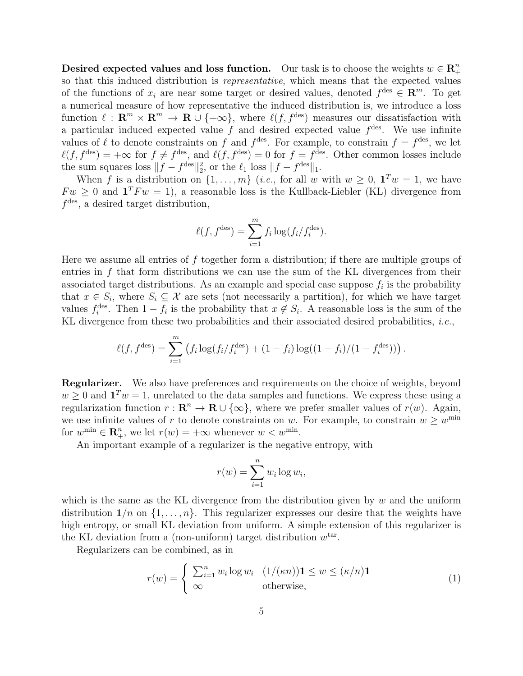Desired expected values and loss function. Our task is to choose the weights  $w \in \mathbb{R}^n_+$ + so that this induced distribution is representative, which means that the expected values of the functions of  $x_i$  are near some target or desired values, denoted  $f^{des} \in \mathbb{R}^m$ . To get a numerical measure of how representative the induced distribution is, we introduce a loss function  $\ell : \mathbf{R}^m \times \mathbf{R}^m \to \mathbf{R} \cup \{+\infty\}$ , where  $\ell(f, f^{\text{des}})$  measures our dissatisfaction with a particular induced expected value  $f$  and desired expected value  $f<sup>des</sup>$ . We use infinite values of  $\ell$  to denote constraints on f and  $f^{des}$ . For example, to constrain  $f = f^{des}$ , we let  $\ell(f, f^{\text{des}}) = +\infty$  for  $f \neq f^{\text{des}},$  and  $\ell(f, f^{\text{des}}) = 0$  for  $f = f^{\text{des}}$ . Other common losses include the sum squares loss  $||f - f^{\text{des}}||_2^2$ , or the  $\ell_1$  loss  $||f - f^{\text{des}}||_1$ .

When f is a distribution on  $\{1,\ldots,m\}$  (*i.e.*, for all w with  $w \geq 0$ ,  $\mathbf{1}^T w = 1$ , we have  $Fw \geq 0$  and  $\mathbf{1}^T Fw = 1$ , a reasonable loss is the Kullback-Liebler (KL) divergence from  $f<sup>des</sup>$ , a desired target distribution,

$$
\ell(f, f^{\text{des}}) = \sum_{i=1}^{m} f_i \log(f_i/f_i^{\text{des}}).
$$

Here we assume all entries of  $f$  together form a distribution; if there are multiple groups of entries in  $f$  that form distributions we can use the sum of the KL divergences from their associated target distributions. As an example and special case suppose  $f_i$  is the probability that  $x \in S_i$ , where  $S_i \subseteq \mathcal{X}$  are sets (not necessarily a partition), for which we have target values  $f_i^{\text{des}}$ . Then  $1 - f_i$  is the probability that  $x \notin S_i$ . A reasonable loss is the sum of the KL divergence from these two probabilities and their associated desired probabilities, *i.e.*,

$$
\ell(f, f^{\text{des}}) = \sum_{i=1}^{m} \left( f_i \log(f_i/f_i^{\text{des}}) + (1 - f_i) \log((1 - f_i)/(1 - f_i^{\text{des}})) \right).
$$

**Regularizer.** We also have preferences and requirements on the choice of weights, beyond  $w \geq 0$  and  $\mathbf{1}^T w = 1$ , unrelated to the data samples and functions. We express these using a regularization function  $r : \mathbf{R}^n \to \mathbf{R} \cup \{\infty\}$ , where we prefer smaller values of  $r(w)$ . Again, we use infinite values of r to denote constraints on w. For example, to constrain  $w \geq w^{\min}$ for  $w^{\min} \in \mathbb{R}_+^n$ , we let  $r(w) = +\infty$  whenever  $w < w^{\min}$ .

An important example of a regularizer is the negative entropy, with

$$
r(w) = \sum_{i=1}^{n} w_i \log w_i,
$$

which is the same as the KL divergence from the distribution given by  $w$  and the uniform distribution  $1/n$  on  $\{1, \ldots, n\}$ . This regularizer expresses our desire that the weights have high entropy, or small KL deviation from uniform. A simple extension of this regularizer is the KL deviation from a (non-uniform) target distribution  $w^{\text{tar}}$ .

Regularizers can be combined, as in

<span id="page-4-0"></span>
$$
r(w) = \begin{cases} \sum_{i=1}^{n} w_i \log w_i & (1/(\kappa n)) \mathbf{1} \le w \le (\kappa/n) \mathbf{1} \\ \infty & \text{otherwise,} \end{cases}
$$
(1)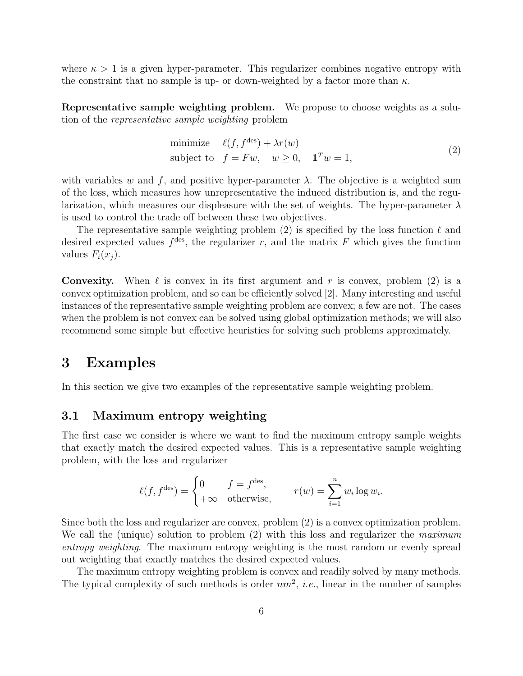where  $\kappa > 1$  is a given hyper-parameter. This regularizer combines negative entropy with the constraint that no sample is up- or down-weighted by a factor more than  $\kappa$ .

Representative sample weighting problem. We propose to choose weights as a solution of the representative sample weighting problem

<span id="page-5-2"></span>minimize 
$$
\ell(f, f^{\text{des}}) + \lambda r(w)
$$
  
subject to  $f = Fw, \quad w \ge 0, \quad \mathbf{1}^T w = 1,$  (2)

with variables w and f, and positive hyper-parameter  $\lambda$ . The objective is a weighted sum of the loss, which measures how unrepresentative the induced distribution is, and the regularization, which measures our displeasure with the set of weights. The hyper-parameter  $\lambda$ is used to control the trade off between these two objectives.

The representative sample weighting problem [\(2\)](#page-5-2) is specified by the loss function  $\ell$  and desired expected values  $f<sup>des</sup>$ , the regularizer r, and the matrix F which gives the function values  $F_i(x_i)$ .

**Convexity.** When  $\ell$  is convex in its first argument and r is convex, problem [\(2\)](#page-5-2) is a convex optimization problem, and so can be efficiently solved [\[2\]](#page-18-1). Many interesting and useful instances of the representative sample weighting problem are convex; a few are not. The cases when the problem is not convex can be solved using global optimization methods; we will also recommend some simple but effective heuristics for solving such problems approximately.

### <span id="page-5-1"></span>3 Examples

In this section we give two examples of the representative sample weighting problem.

#### <span id="page-5-0"></span>3.1 Maximum entropy weighting

The first case we consider is where we want to find the maximum entropy sample weights that exactly match the desired expected values. This is a representative sample weighting problem, with the loss and regularizer

$$
\ell(f, f^{\text{des}}) = \begin{cases} 0 & f = f^{\text{des}}, \\ +\infty & \text{otherwise}, \end{cases} \qquad r(w) = \sum_{i=1}^{n} w_i \log w_i.
$$

Since both the loss and regularizer are convex, problem [\(2\)](#page-5-2) is a convex optimization problem. We call the (unique) solution to problem [\(2\)](#page-5-2) with this loss and regularizer the maximum entropy weighting. The maximum entropy weighting is the most random or evenly spread out weighting that exactly matches the desired expected values.

The maximum entropy weighting problem is convex and readily solved by many methods. The typical complexity of such methods is order  $nm^2$ , *i.e.*, linear in the number of samples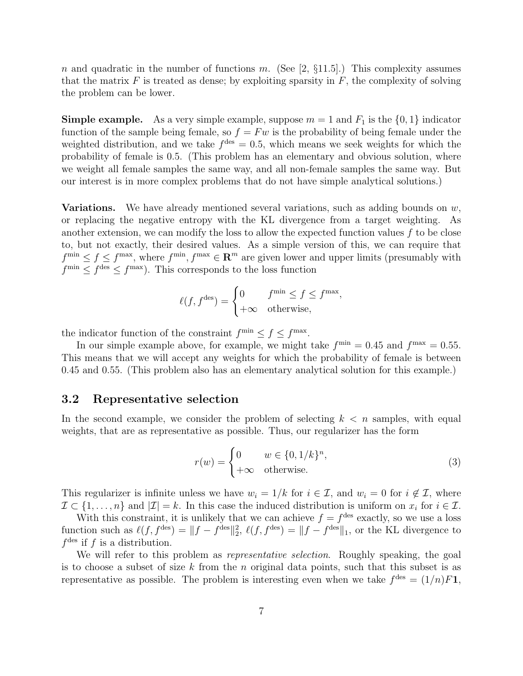n and quadratic in the number of functions m. (See [\[2,](#page-18-1)  $\S11.5$ ].) This complexity assumes that the matrix  $F$  is treated as dense; by exploiting sparsity in  $F$ , the complexity of solving the problem can be lower.

**Simple example.** As a very simple example, suppose  $m = 1$  and  $F_1$  is the  $\{0, 1\}$  indicator function of the sample being female, so  $f = Fw$  is the probability of being female under the weighted distribution, and we take  $f<sup>des</sup> = 0.5$ , which means we seek weights for which the probability of female is 0.5. (This problem has an elementary and obvious solution, where we weight all female samples the same way, and all non-female samples the same way. But our interest is in more complex problems that do not have simple analytical solutions.)

**Variations.** We have already mentioned several variations, such as adding bounds on  $w$ , or replacing the negative entropy with the KL divergence from a target weighting. As another extension, we can modify the loss to allow the expected function values  $f$  to be close to, but not exactly, their desired values. As a simple version of this, we can require that  $f^{\min} \le f \le f^{\max}$ , where  $f^{\min}$ ,  $f^{\max} \in \mathbb{R}^m$  are given lower and upper limits (presumably with  $f^{\min} \leq f^{\text{des}} \leq f^{\max}$ . This corresponds to the loss function

$$
\ell(f, f^{\text{des}}) = \begin{cases} 0 & f^{\min} \le f \le f^{\max}, \\ +\infty & \text{otherwise}, \end{cases}
$$

the indicator function of the constraint  $f^{\min} \leq f \leq f^{\max}$ .

In our simple example above, for example, we might take  $f^{\min} = 0.45$  and  $f^{\max} = 0.55$ . This means that we will accept any weights for which the probability of female is between 0.45 and 0.55. (This problem also has an elementary analytical solution for this example.)

#### <span id="page-6-0"></span>3.2 Representative selection

In the second example, we consider the problem of selecting  $k < n$  samples, with equal weights, that are as representative as possible. Thus, our regularizer has the form

<span id="page-6-1"></span>
$$
r(w) = \begin{cases} 0 & w \in \{0, 1/k\}^n, \\ +\infty & \text{otherwise.} \end{cases}
$$
 (3)

This regularizer is infinite unless we have  $w_i = 1/k$  for  $i \in \mathcal{I}$ , and  $w_i = 0$  for  $i \notin \mathcal{I}$ , where  $\mathcal{I} \subset \{1, \ldots, n\}$  and  $|\mathcal{I}| = k$ . In this case the induced distribution is uniform on  $x_i$  for  $i \in \mathcal{I}$ .

With this constraint, it is unlikely that we can achieve  $f = f^{\text{des}}$  exactly, so we use a loss function such as  $\ell(f, f^{\text{des}}) = ||f - f^{\text{des}}||_2^2$ ,  $\ell(f, f^{\text{des}}) = ||f - f^{\text{des}}||_1$ , or the KL divergence to  $f<sup>des</sup>$  if f is a distribution.

We will refer to this problem as *representative selection*. Roughly speaking, the goal is to choose a subset of size k from the n original data points, such that this subset is as representative as possible. The problem is interesting even when we take  $f<sup>des</sup> = (1/n)F1$ ,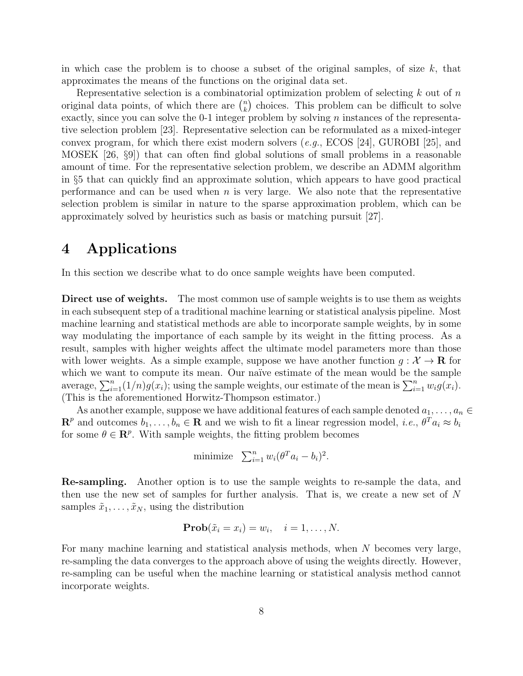in which case the problem is to choose a subset of the original samples, of size  $k$ , that approximates the means of the functions on the original data set.

Representative selection is a combinatorial optimization problem of selecting  $k$  out of  $n$ original data points, of which there are  $\binom{n}{k}$  $\binom{n}{k}$  choices. This problem can be difficult to solve exactly, since you can solve the  $0-1$  integer problem by solving n instances of the representative selection problem [\[23\]](#page-19-8). Representative selection can be reformulated as a mixed-integer convex program, for which there exist modern solvers (e.g., ECOS [\[24\]](#page-19-9), GUROBI [\[25\]](#page-19-10), and MOSEK [\[26,](#page-19-11) §9]) that can often find global solutions of small problems in a reasonable amount of time. For the representative selection problem, we describe an ADMM algorithm in §[5](#page-8-0) that can quickly find an approximate solution, which appears to have good practical performance and can be used when  $n$  is very large. We also note that the representative selection problem is similar in nature to the sparse approximation problem, which can be approximately solved by heuristics such as basis or matching pursuit [\[27\]](#page-19-12).

### <span id="page-7-0"></span>4 Applications

In this section we describe what to do once sample weights have been computed.

Direct use of weights. The most common use of sample weights is to use them as weights in each subsequent step of a traditional machine learning or statistical analysis pipeline. Most machine learning and statistical methods are able to incorporate sample weights, by in some way modulating the importance of each sample by its weight in the fitting process. As a result, samples with higher weights affect the ultimate model parameters more than those with lower weights. As a simple example, suppose we have another function  $g: \mathcal{X} \to \mathbf{R}$  for which we want to compute its mean. Our naïve estimate of the mean would be the sample average,  $\sum_{i=1}^{n} (1/n) g(x_i)$ ; using the sample weights, our estimate of the mean is  $\sum_{i=1}^{n} w_i g(x_i)$ . (This is the aforementioned Horwitz-Thompson estimator.)

As another example, suppose we have additional features of each sample denoted  $a_1, \ldots, a_n \in$  $\mathbf{R}^p$  and outcomes  $b_1, \ldots, b_n \in \mathbf{R}$  and we wish to fit a linear regression model, *i.e.*,  $\theta^T a_i \approx b_i$ for some  $\theta \in \mathbb{R}^p$ . With sample weights, the fitting problem becomes

minimize 
$$
\sum_{i=1}^{n} w_i (\theta^T a_i - b_i)^2
$$
.

Re-sampling. Another option is to use the sample weights to re-sample the data, and then use the new set of samples for further analysis. That is, we create a new set of N samples  $\tilde{x}_1, \ldots, \tilde{x}_N$ , using the distribution

$$
\mathbf{Prob}(\tilde{x}_i = x_i) = w_i, \quad i = 1, \dots, N.
$$

For many machine learning and statistical analysis methods, when N becomes very large, re-sampling the data converges to the approach above of using the weights directly. However, re-sampling can be useful when the machine learning or statistical analysis method cannot incorporate weights.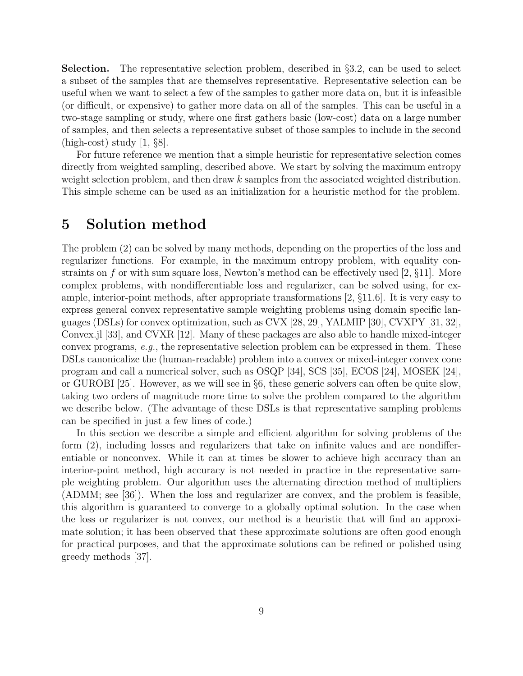Selection. The representative selection problem, described in §[3.2,](#page-6-0) can be used to select a subset of the samples that are themselves representative. Representative selection can be useful when we want to select a few of the samples to gather more data on, but it is infeasible (or difficult, or expensive) to gather more data on all of the samples. This can be useful in a two-stage sampling or study, where one first gathers basic (low-cost) data on a large number of samples, and then selects a representative subset of those samples to include in the second  $(high-cost)$  study  $[1, §8]$  $[1, §8]$ .

For future reference we mention that a simple heuristic for representative selection comes directly from weighted sampling, described above. We start by solving the maximum entropy weight selection problem, and then draw k samples from the associated weighted distribution. This simple scheme can be used as an initialization for a heuristic method for the problem.

### <span id="page-8-0"></span>5 Solution method

The problem [\(2\)](#page-5-2) can be solved by many methods, depending on the properties of the loss and regularizer functions. For example, in the maximum entropy problem, with equality constraints on f or with sum square loss, Newton's method can be effectively used  $[2, \S 11]$  $[2, \S 11]$ . More complex problems, with nondifferentiable loss and regularizer, can be solved using, for example, interior-point methods, after appropriate transformations [\[2,](#page-18-1) §11.6]. It is very easy to express general convex representative sample weighting problems using domain specific languages (DSLs) for convex optimization, such as CVX [\[28,](#page-19-13) [29\]](#page-20-0), YALMIP [\[30\]](#page-20-1), CVXPY [\[31,](#page-20-2) [32\]](#page-20-3), Convex.jl [\[33\]](#page-20-4), and CVXR [\[12\]](#page-18-11). Many of these packages are also able to handle mixed-integer convex programs, e.g., the representative selection problem can be expressed in them. These DSLs canonicalize the (human-readable) problem into a convex or mixed-integer convex cone program and call a numerical solver, such as OSQP [\[34\]](#page-20-5), SCS [\[35\]](#page-20-6), ECOS [\[24\]](#page-19-9), MOSEK [\[24\]](#page-19-9), or GUROBI [\[25\]](#page-19-10). However, as we will see in §[6,](#page-11-0) these generic solvers can often be quite slow, taking two orders of magnitude more time to solve the problem compared to the algorithm we describe below. (The advantage of these DSLs is that representative sampling problems can be specified in just a few lines of code.)

In this section we describe a simple and efficient algorithm for solving problems of the form [\(2\)](#page-5-2), including losses and regularizers that take on infinite values and are nondifferentiable or nonconvex. While it can at times be slower to achieve high accuracy than an interior-point method, high accuracy is not needed in practice in the representative sample weighting problem. Our algorithm uses the alternating direction method of multipliers (ADMM; see [\[36\]](#page-20-7)). When the loss and regularizer are convex, and the problem is feasible, this algorithm is guaranteed to converge to a globally optimal solution. In the case when the loss or regularizer is not convex, our method is a heuristic that will find an approximate solution; it has been observed that these approximate solutions are often good enough for practical purposes, and that the approximate solutions can be refined or polished using greedy methods [\[37\]](#page-20-8).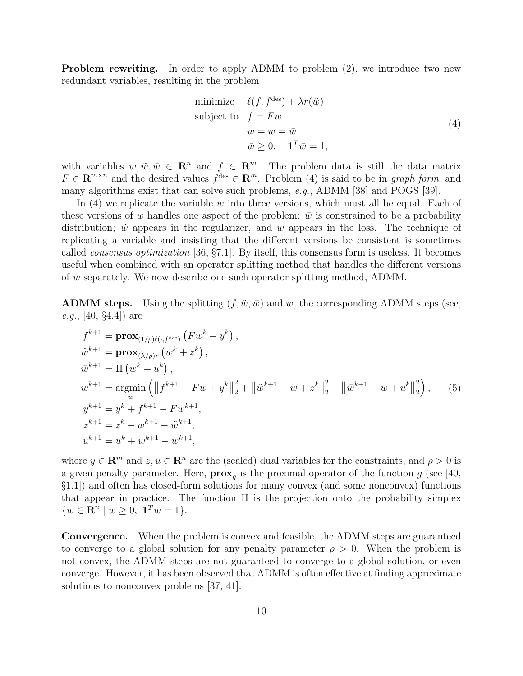Problem rewriting. In order to apply ADMM to problem [\(2\)](#page-5-2), we introduce two new redundant variables, resulting in the problem

<span id="page-9-0"></span>minimize 
$$
\ell(f, f^{\text{des}}) + \lambda r(\tilde{w})
$$
  
\nsubject to  $f = Fw$   
\n $\tilde{w} = w = \bar{w}$   
\n $\bar{w} \ge 0, \quad \mathbf{1}^T \bar{w} = 1,$ \n
$$
(4)
$$

with variables  $w, \tilde{w}, \bar{w} \in \mathbb{R}^n$  and  $f \in \mathbb{R}^m$ . The problem data is still the data matrix  $F \in \mathbb{R}^{m \times n}$  and the desired values  $f^{\text{des}} \in \mathbb{R}^m$ . Problem [\(4\)](#page-9-0) is said to be in graph form, and many algorithms exist that can solve such problems, e.g., ADMM [\[38\]](#page-20-9) and POGS [\[39\]](#page-20-10).

In  $(4)$  we replicate the variable w into three versions, which must all be equal. Each of these versions of w handles one aspect of the problem:  $\bar{w}$  is constrained to be a probability distribution;  $\tilde{w}$  appears in the regularizer, and w appears in the loss. The technique of replicating a variable and insisting that the different versions be consistent is sometimes called consensus optimization [\[36,](#page-20-7) §7.1]. By itself, this consensus form is useless. It becomes useful when combined with an operator splitting method that handles the different versions of w separately. We now describe one such operator splitting method, ADMM.

**ADMM steps.** Using the splitting  $(f, \tilde{w}, \bar{w})$  and w, the corresponding ADMM steps (see, e.g., [\[40,](#page-20-11) §4.4]) are

<span id="page-9-1"></span>
$$
f^{k+1} = \mathbf{prox}_{(1/\rho)\ell(\cdot, f^{des})} (Fw^k - y^k),
$$
  
\n
$$
\tilde{w}^{k+1} = \mathbf{prox}_{(\lambda/\rho)r} (w^k + z^k),
$$
  
\n
$$
\bar{w}^{k+1} = \Pi (w^k + u^k),
$$
  
\n
$$
w^{k+1} = \operatorname*{argmin}_{w} (\|f^{k+1} - Fw + y^k\|_2^2 + \|\tilde{w}^{k+1} - w + z^k\|_2^2 + \|\bar{w}^{k+1} - w + u^k\|_2^2),
$$
\n
$$
y^{k+1} = y^k + f^{k+1} - Fw^{k+1},
$$
  
\n
$$
z^{k+1} = z^k + w^{k+1} - \tilde{w}^{k+1},
$$
  
\n
$$
u^{k+1} = u^k + w^{k+1} - \bar{w}^{k+1},
$$

where  $y \in \mathbb{R}^m$  and  $z, u \in \mathbb{R}^n$  are the (scaled) dual variables for the constraints, and  $\rho > 0$  is a given penalty parameter. Here,  $\mathbf{prox}_g$  is the proximal operator of the function g (see [\[40,](#page-20-11) §1.1]) and often has closed-form solutions for many convex (and some nonconvex) functions that appear in practice. The function  $\Pi$  is the projection onto the probability simplex  $\{w \in \mathbf{R}^n \mid w \geq 0, \mathbf{1}^T w = 1\}.$ 

Convergence. When the problem is convex and feasible, the ADMM steps are guaranteed to converge to a global solution for any penalty parameter  $\rho > 0$ . When the problem is not convex, the ADMM steps are not guaranteed to converge to a global solution, or even converge. However, it has been observed that ADMM is often effective at finding approximate solutions to nonconvex problems [\[37,](#page-20-8) [41\]](#page-20-12).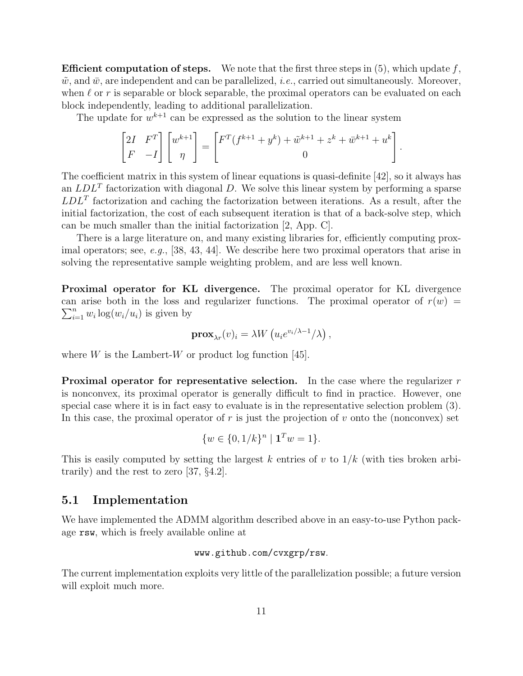**Efficient computation of steps.** We note that the first three steps in  $(5)$ , which update f,  $\tilde{w}$ , and  $\bar{w}$ , are independent and can be parallelized, *i.e.*, carried out simultaneously. Moreover, when  $\ell$  or r is separable or block separable, the proximal operators can be evaluated on each block independently, leading to additional parallelization.

The update for  $w^{k+1}$  can be expressed as the solution to the linear system

$$
\begin{bmatrix} 2I & F^T \\ F & -I \end{bmatrix} \begin{bmatrix} w^{k+1} \\ \eta \end{bmatrix} = \begin{bmatrix} F^T(f^{k+1} + y^k) + \tilde{w}^{k+1} + z^k + \bar{w}^{k+1} + u^k \\ 0 \end{bmatrix}.
$$

The coefficient matrix in this system of linear equations is quasi-definite [\[42\]](#page-21-0), so it always has an  $LDL<sup>T</sup>$  factorization with diagonal D. We solve this linear system by performing a sparse  $LDL<sup>T</sup>$  factorization and caching the factorization between iterations. As a result, after the initial factorization, the cost of each subsequent iteration is that of a back-solve step, which can be much smaller than the initial factorization [\[2,](#page-18-1) App. C].

There is a large literature on, and many existing libraries for, efficiently computing prox-imal operators; see, e.g., [\[38,](#page-20-9) [43,](#page-21-1) [44\]](#page-21-2). We describe here two proximal operators that arise in solving the representative sample weighting problem, and are less well known.

Proximal operator for KL divergence. The proximal operator for KL divergence can arise both in the loss and regularizer functions. The proximal operator of  $r(w)$  =  $\sum_{i=1}^n w_i \log(w_i/u_i)$  is given by

$$
\mathbf{prox}_{\lambda r}(v)_i = \lambda W\left(u_i e^{v_i/\lambda - 1}/\lambda\right),\,
$$

where  $W$  is the Lambert-W or product log function [\[45\]](#page-21-3).

**Proximal operator for representative selection.** In the case where the regularizer  $r$ is nonconvex, its proximal operator is generally difficult to find in practice. However, one special case where it is in fact easy to evaluate is in the representative selection problem [\(3\)](#page-6-1). In this case, the proximal operator of r is just the projection of v onto the (nonconvex) set

$$
\{w \in \{0, 1/k\}^n \mid \mathbf{1}^T w = 1\}.
$$

This is easily computed by setting the largest k entries of v to  $1/k$  (with ties broken arbitrarily) and the rest to zero [\[37,](#page-20-8) §4.2].

#### 5.1 Implementation

We have implemented the ADMM algorithm described above in an easy-to-use Python package rsw, which is freely available online at

#### www.github.com/cvxgrp/rsw.

The current implementation exploits very little of the parallelization possible; a future version will exploit much more.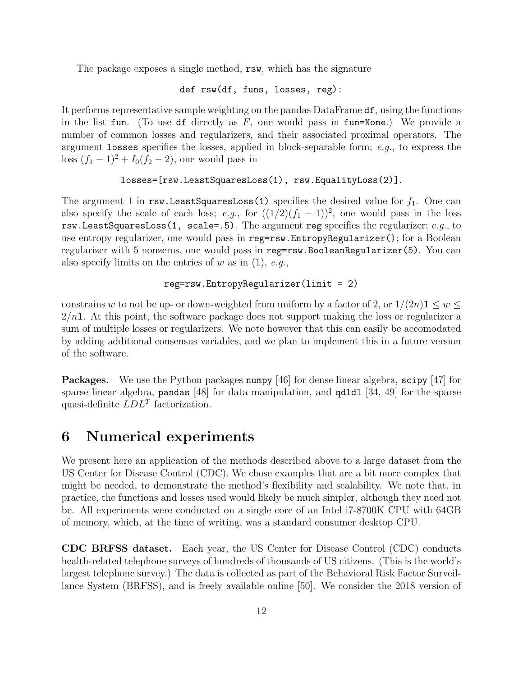The package exposes a single method, rsw, which has the signature

def rsw(df, funs, losses, reg):

It performs representative sample weighting on the pandas DataFrame df, using the functions in the list fun. (To use df directly as  $F$ , one would pass in fun=None.) We provide a number of common losses and regularizers, and their associated proximal operators. The argument losses specifies the losses, applied in block-separable form; e.g., to express the loss  $(f_1 - 1)^2 + I_0(f_2 - 2)$ , one would pass in

```
losses=[rsw.LeastSquaresLoss(1), rsw.EqualityLoss(2)].
```
The argument 1 in rsw.LeastSquaresLoss(1) specifies the desired value for  $f_1$ . One can also specify the scale of each loss; e.g., for  $((1/2)(f_1 - 1))^2$ , one would pass in the loss rsw.LeastSquaresLoss(1, scale=.5). The argument reg specifies the regularizer;  $e.q.,$  to use entropy regularizer, one would pass in reg=rsw.EntropyRegularizer(); for a Boolean regularizer with 5 nonzeros, one would pass in reg=rsw.BooleanRegularizer(5). You can also specify limits on the entries of w as in  $(1)$ , e.g.,

#### reg=rsw.EntropyRegularizer(limit = 2)

constrains w to not be up- or down-weighted from uniform by a factor of 2, or  $1/(2n)$  1  $\leq w \leq$  $2/n<sub>1</sub>$ . At this point, the software package does not support making the loss or regularizer a sum of multiple losses or regularizers. We note however that this can easily be accomodated by adding additional consensus variables, and we plan to implement this in a future version of the software.

Packages. We use the Python packages numpy [\[46\]](#page-21-4) for dense linear algebra, scipy [\[47\]](#page-21-5) for sparse linear algebra, pandas [\[48\]](#page-21-6) for data manipulation, and qdldl [\[34,](#page-20-5) [49\]](#page-21-7) for the sparse quasi-definite  $LDL<sup>T</sup>$  factorization.

### <span id="page-11-0"></span>6 Numerical experiments

We present here an application of the methods described above to a large dataset from the US Center for Disease Control (CDC). We chose examples that are a bit more complex that might be needed, to demonstrate the method's flexibility and scalability. We note that, in practice, the functions and losses used would likely be much simpler, although they need not be. All experiments were conducted on a single core of an Intel i7-8700K CPU with 64GB of memory, which, at the time of writing, was a standard consumer desktop CPU.

CDC BRFSS dataset. Each year, the US Center for Disease Control (CDC) conducts health-related telephone surveys of hundreds of thousands of US citizens. (This is the world's largest telephone survey.) The data is collected as part of the Behavioral Risk Factor Surveillance System (BRFSS), and is freely available online [\[50\]](#page-21-8). We consider the 2018 version of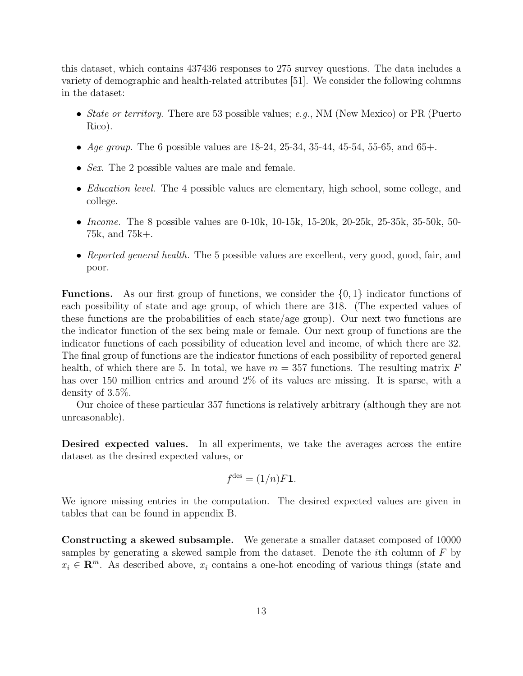this dataset, which contains 437436 responses to 275 survey questions. The data includes a variety of demographic and health-related attributes [\[51\]](#page-21-9). We consider the following columns in the dataset:

- State or territory. There are 53 possible values; e.g., NM (New Mexico) or PR (Puerto Rico).
- Age group. The 6 possible values are  $18-24$ ,  $25-34$ ,  $35-44$ ,  $45-54$ ,  $55-65$ , and  $65+$ .
- *Sex.* The 2 possible values are male and female.
- *Education level.* The 4 possible values are elementary, high school, some college, and college.
- *Income.* The 8 possible values are 0-10k,  $10\n-15k$ ,  $15\n-20k$ ,  $20\n-25k$ ,  $25\n-35k$ ,  $35\n-50k$ ,  $50\n-$ 75k, and 75k+.
- Reported general health. The 5 possible values are excellent, very good, good, fair, and poor.

**Functions.** As our first group of functions, we consider the  $\{0, 1\}$  indicator functions of each possibility of state and age group, of which there are 318. (The expected values of these functions are the probabilities of each state/age group). Our next two functions are the indicator function of the sex being male or female. Our next group of functions are the indicator functions of each possibility of education level and income, of which there are 32. The final group of functions are the indicator functions of each possibility of reported general health, of which there are 5. In total, we have  $m = 357$  functions. The resulting matrix F has over 150 million entries and around 2% of its values are missing. It is sparse, with a density of 3.5%.

Our choice of these particular 357 functions is relatively arbitrary (although they are not unreasonable).

Desired expected values. In all experiments, we take the averages across the entire dataset as the desired expected values, or

$$
f^{\text{des}} = (1/n)F\mathbf{1}.
$$

We ignore missing entries in the computation. The desired expected values are given in tables that can be found in appendix [B.](#page-26-0)

Constructing a skewed subsample. We generate a smaller dataset composed of 10000 samples by generating a skewed sample from the dataset. Denote the ith column of F by  $x_i \in \mathbb{R}^m$ . As described above,  $x_i$  contains a one-hot encoding of various things (state and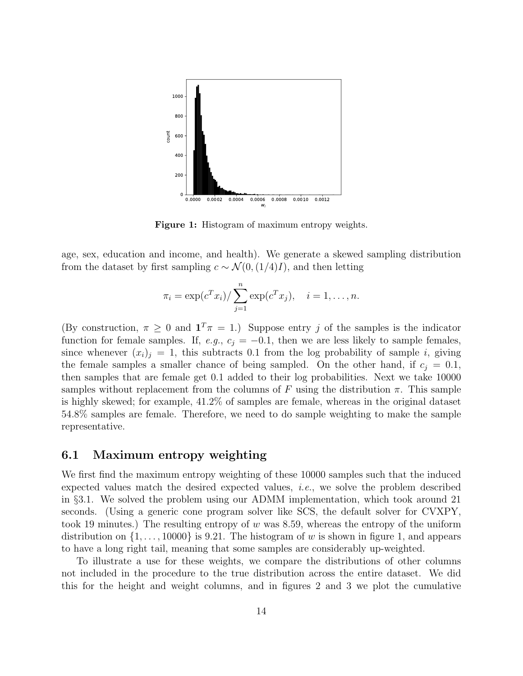<span id="page-13-0"></span>

Figure 1: Histogram of maximum entropy weights.

age, sex, education and income, and health). We generate a skewed sampling distribution from the dataset by first sampling  $c \sim \mathcal{N}(0,(1/4)I)$ , and then letting

$$
\pi_i = \exp(c^T x_i) / \sum_{j=1}^n \exp(c^T x_j), \quad i = 1, ..., n.
$$

(By construction,  $\pi \geq 0$  and  $\mathbf{1}^T \pi = 1$ .) Suppose entry j of the samples is the indicator function for female samples. If, e.g.,  $c_j = -0.1$ , then we are less likely to sample females, since whenever  $(x_i)_i = 1$ , this subtracts 0.1 from the log probability of sample i, giving the female samples a smaller chance of being sampled. On the other hand, if  $c_i = 0.1$ , then samples that are female get 0.1 added to their log probabilities. Next we take 10000 samples without replacement from the columns of F using the distribution  $\pi$ . This sample is highly skewed; for example, 41.2% of samples are female, whereas in the original dataset 54.8% samples are female. Therefore, we need to do sample weighting to make the sample representative.

#### 6.1 Maximum entropy weighting

We first find the maximum entropy weighting of these 10000 samples such that the induced expected values match the desired expected values, i.e., we solve the problem described in §[3.1.](#page-5-0) We solved the problem using our ADMM implementation, which took around 21 seconds. (Using a generic cone program solver like SCS, the default solver for CVXPY, took 19 minutes.) The resulting entropy of w was 8.59, whereas the entropy of the uniform distribution on  $\{1, \ldots, 10000\}$  is 9.21. The histogram of w is shown in figure [1,](#page-13-0) and appears to have a long right tail, meaning that some samples are considerably up-weighted.

To illustrate a use for these weights, we compare the distributions of other columns not included in the procedure to the true distribution across the entire dataset. We did this for the height and weight columns, and in figures [2](#page-14-0) and [3](#page-15-1) we plot the cumulative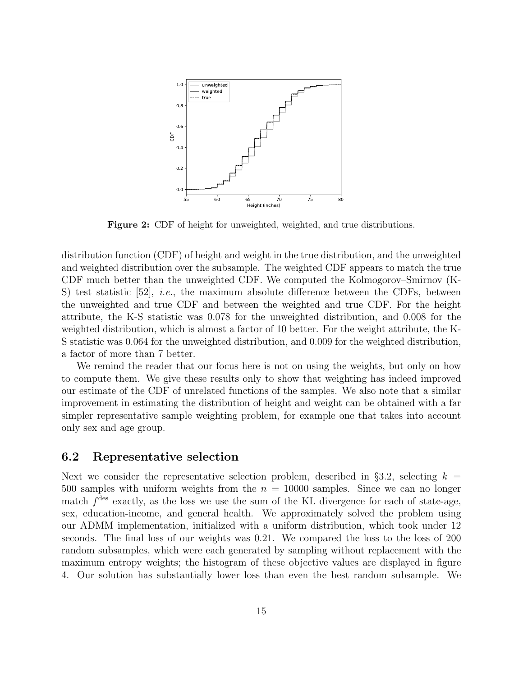<span id="page-14-0"></span>

Figure 2: CDF of height for unweighted, weighted, and true distributions.

distribution function (CDF) of height and weight in the true distribution, and the unweighted and weighted distribution over the subsample. The weighted CDF appears to match the true CDF much better than the unweighted CDF. We computed the Kolmogorov–Smirnov (K-S) test statistic  $[52]$ , *i.e.*, the maximum absolute difference between the CDFs, between the unweighted and true CDF and between the weighted and true CDF. For the height attribute, the K-S statistic was 0.078 for the unweighted distribution, and 0.008 for the weighted distribution, which is almost a factor of 10 better. For the weight attribute, the K-S statistic was 0.064 for the unweighted distribution, and 0.009 for the weighted distribution, a factor of more than 7 better.

We remind the reader that our focus here is not on using the weights, but only on how to compute them. We give these results only to show that weighting has indeed improved our estimate of the CDF of unrelated functions of the samples. We also note that a similar improvement in estimating the distribution of height and weight can be obtained with a far simpler representative sample weighting problem, for example one that takes into account only sex and age group.

#### 6.2 Representative selection

Next we consider the representative selection problem, described in §[3.2,](#page-6-0) selecting  $k =$ 500 samples with uniform weights from the  $n = 10000$  samples. Since we can no longer match  $f<sup>des</sup>$  exactly, as the loss we use the sum of the KL divergence for each of state-age, sex, education-income, and general health. We approximately solved the problem using our ADMM implementation, initialized with a uniform distribution, which took under 12 seconds. The final loss of our weights was 0.21. We compared the loss to the loss of 200 random subsamples, which were each generated by sampling without replacement with the maximum entropy weights; the histogram of these objective values are displayed in figure [4.](#page-15-2) Our solution has substantially lower loss than even the best random subsample. We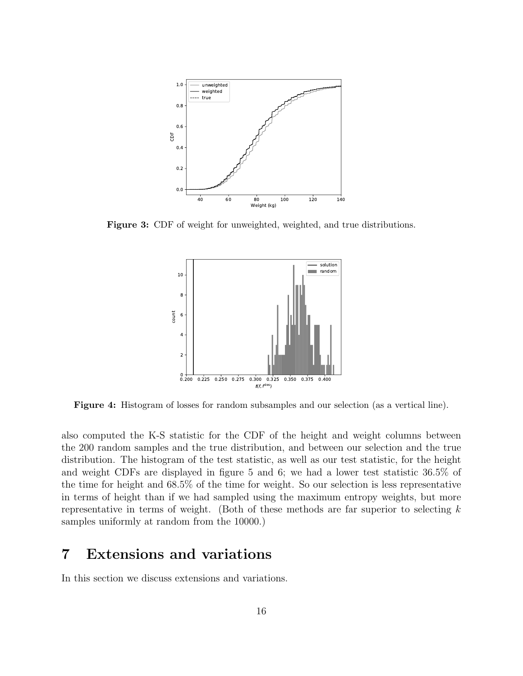<span id="page-15-1"></span>

<span id="page-15-2"></span>Figure 3: CDF of weight for unweighted, weighted, and true distributions.



Figure 4: Histogram of losses for random subsamples and our selection (as a vertical line).

also computed the K-S statistic for the CDF of the height and weight columns between the 200 random samples and the true distribution, and between our selection and the true distribution. The histogram of the test statistic, as well as our test statistic, for the height and weight CDFs are displayed in figure [5](#page-16-0) and [6;](#page-16-1) we had a lower test statistic 36.5% of the time for height and 68.5% of the time for weight. So our selection is less representative in terms of height than if we had sampled using the maximum entropy weights, but more representative in terms of weight. (Both of these methods are far superior to selecting  $k$ samples uniformly at random from the 10000.)

## <span id="page-15-0"></span>7 Extensions and variations

In this section we discuss extensions and variations.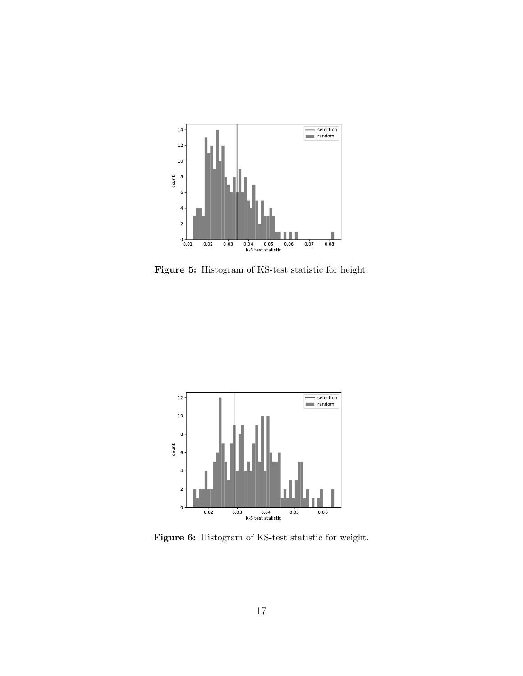<span id="page-16-0"></span>

Figure 5: Histogram of KS-test statistic for height.

<span id="page-16-1"></span>

Figure 6: Histogram of KS-test statistic for weight.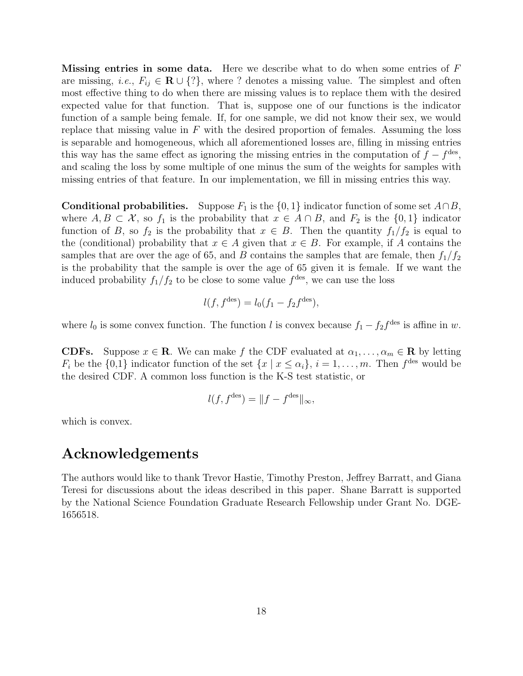**Missing entries in some data.** Here we describe what to do when some entries of  $F$ are missing, *i.e.*,  $F_{ij} \in \mathbf{R} \cup \{?\}$ , where ? denotes a missing value. The simplest and often most effective thing to do when there are missing values is to replace them with the desired expected value for that function. That is, suppose one of our functions is the indicator function of a sample being female. If, for one sample, we did not know their sex, we would replace that missing value in  $F$  with the desired proportion of females. Assuming the loss is separable and homogeneous, which all aforementioned losses are, filling in missing entries this way has the same effect as ignoring the missing entries in the computation of  $f - f^{\text{des}}$ , and scaling the loss by some multiple of one minus the sum of the weights for samples with missing entries of that feature. In our implementation, we fill in missing entries this way.

**Conditional probabilities.** Suppose  $F_1$  is the  $\{0, 1\}$  indicator function of some set  $A \cap B$ , where  $A, B \subset \mathcal{X}$ , so  $f_1$  is the probability that  $x \in A \cap B$ , and  $F_2$  is the  $\{0,1\}$  indicator function of B, so  $f_2$  is the probability that  $x \in B$ . Then the quantity  $f_1/f_2$  is equal to the (conditional) probability that  $x \in A$  given that  $x \in B$ . For example, if A contains the samples that are over the age of 65, and B contains the samples that are female, then  $f_1/f_2$ is the probability that the sample is over the age of 65 given it is female. If we want the induced probability  $f_1/f_2$  to be close to some value  $f<sup>des</sup>$ , we can use the loss

$$
l(f, f^{\text{des}}) = l_0(f_1 - f_2 f^{\text{des}}),
$$

where  $l_0$  is some convex function. The function l is convex because  $f_1 - f_2 f^{des}$  is affine in w.

**CDFs.** Suppose  $x \in \mathbb{R}$ . We can make f the CDF evaluated at  $\alpha_1, \ldots, \alpha_m \in \mathbb{R}$  by letting  $F_i$  be the  $\{0,1\}$  indicator function of the set  $\{x \mid x \leq \alpha_i\}, i = 1, \ldots, m$ . Then  $f^{\text{des}}$  would be the desired CDF. A common loss function is the K-S test statistic, or

$$
l(f, f^{\text{des}}) = ||f - f^{\text{des}}||_{\infty},
$$

which is convex.

### Acknowledgements

The authors would like to thank Trevor Hastie, Timothy Preston, Jeffrey Barratt, and Giana Teresi for discussions about the ideas described in this paper. Shane Barratt is supported by the National Science Foundation Graduate Research Fellowship under Grant No. DGE-1656518.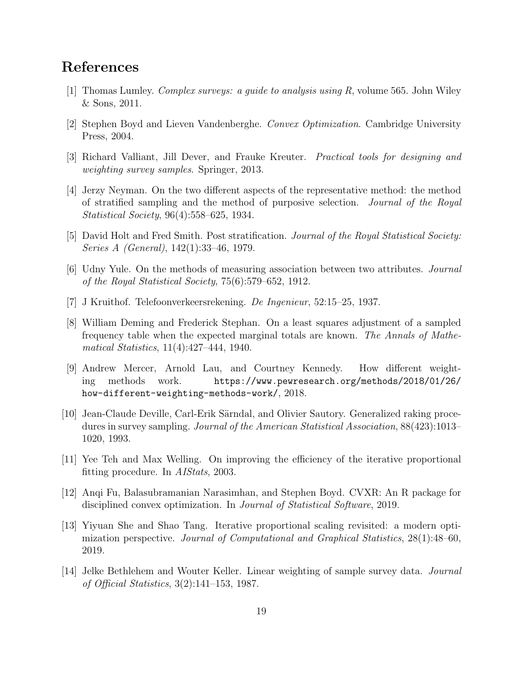# References

- <span id="page-18-0"></span>[1] Thomas Lumley. Complex surveys: a guide to analysis using R, volume 565. John Wiley & Sons, 2011.
- <span id="page-18-1"></span>[2] Stephen Boyd and Lieven Vandenberghe. Convex Optimization. Cambridge University Press, 2004.
- <span id="page-18-2"></span>[3] Richard Valliant, Jill Dever, and Frauke Kreuter. Practical tools for designing and weighting survey samples. Springer, 2013.
- <span id="page-18-3"></span>[4] Jerzy Neyman. On the two different aspects of the representative method: the method of stratified sampling and the method of purposive selection. Journal of the Royal Statistical Society, 96(4):558–625, 1934.
- <span id="page-18-4"></span>[5] David Holt and Fred Smith. Post stratification. Journal of the Royal Statistical Society: Series A (General), 142(1):33–46, 1979.
- <span id="page-18-5"></span>[6] Udny Yule. On the methods of measuring association between two attributes. Journal of the Royal Statistical Society, 75(6):579–652, 1912.
- <span id="page-18-6"></span>[7] J Kruithof. Telefoonverkeersrekening. De Ingenieur, 52:15–25, 1937.
- <span id="page-18-7"></span>[8] William Deming and Frederick Stephan. On a least squares adjustment of a sampled frequency table when the expected marginal totals are known. The Annals of Mathematical Statistics, 11(4):427–444, 1940.
- <span id="page-18-8"></span>[9] Andrew Mercer, Arnold Lau, and Courtney Kennedy. How different weighting methods work. [https://www.pewresearch.org/methods/2018/01/26/](https://www.pewresearch.org/methods/2018/01/26/how-different-weighting-methods-work/) [how-different-weighting-methods-work/](https://www.pewresearch.org/methods/2018/01/26/how-different-weighting-methods-work/), 2018.
- <span id="page-18-9"></span>[10] Jean-Claude Deville, Carl-Erik Särndal, and Olivier Sautory. Generalized raking procedures in survey sampling. Journal of the American Statistical Association, 88(423):1013– 1020, 1993.
- <span id="page-18-10"></span>[11] Yee Teh and Max Welling. On improving the efficiency of the iterative proportional fitting procedure. In AIStats, 2003.
- <span id="page-18-11"></span>[12] Anqi Fu, Balasubramanian Narasimhan, and Stephen Boyd. CVXR: An R package for disciplined convex optimization. In Journal of Statistical Software, 2019.
- <span id="page-18-12"></span>[13] Yiyuan She and Shao Tang. Iterative proportional scaling revisited: a modern optimization perspective. Journal of Computational and Graphical Statistics, 28(1):48–60, 2019.
- <span id="page-18-13"></span>[14] Jelke Bethlehem and Wouter Keller. Linear weighting of sample survey data. Journal of Official Statistics, 3(2):141–153, 1987.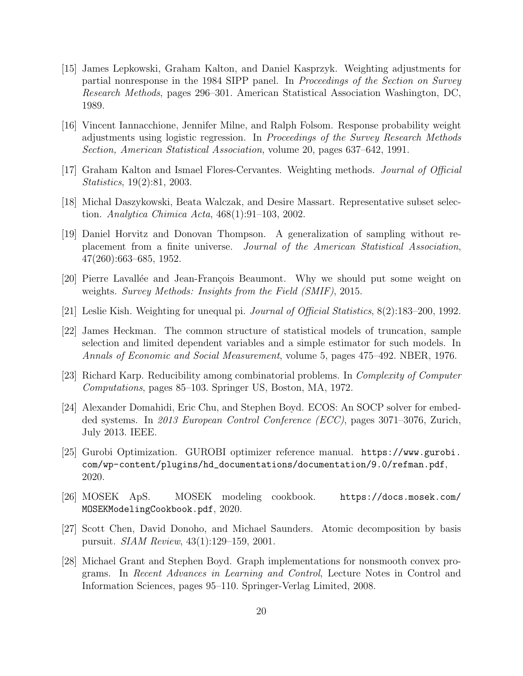- <span id="page-19-0"></span>[15] James Lepkowski, Graham Kalton, and Daniel Kasprzyk. Weighting adjustments for partial nonresponse in the 1984 SIPP panel. In Proceedings of the Section on Survey Research Methods, pages 296–301. American Statistical Association Washington, DC, 1989.
- <span id="page-19-1"></span>[16] Vincent Iannacchione, Jennifer Milne, and Ralph Folsom. Response probability weight adjustments using logistic regression. In Proceedings of the Survey Research Methods Section, American Statistical Association, volume 20, pages 637–642, 1991.
- <span id="page-19-2"></span>[17] Graham Kalton and Ismael Flores-Cervantes. Weighting methods. Journal of Official Statistics, 19(2):81, 2003.
- <span id="page-19-3"></span>[18] Michal Daszykowski, Beata Walczak, and Desire Massart. Representative subset selection. Analytica Chimica Acta, 468(1):91–103, 2002.
- <span id="page-19-4"></span>[19] Daniel Horvitz and Donovan Thompson. A generalization of sampling without replacement from a finite universe. Journal of the American Statistical Association, 47(260):663–685, 1952.
- <span id="page-19-5"></span>[20] Pierre Lavallée and Jean-François Beaumont. Why we should put some weight on weights. Survey Methods: Insights from the Field (SMIF), 2015.
- <span id="page-19-6"></span>[21] Leslie Kish. Weighting for unequal pi. Journal of Official Statistics, 8(2):183–200, 1992.
- <span id="page-19-7"></span>[22] James Heckman. The common structure of statistical models of truncation, sample selection and limited dependent variables and a simple estimator for such models. In Annals of Economic and Social Measurement, volume 5, pages 475–492. NBER, 1976.
- <span id="page-19-8"></span>[23] Richard Karp. Reducibility among combinatorial problems. In Complexity of Computer Computations, pages 85–103. Springer US, Boston, MA, 1972.
- <span id="page-19-9"></span>[24] Alexander Domahidi, Eric Chu, and Stephen Boyd. ECOS: An SOCP solver for embedded systems. In 2013 European Control Conference (ECC), pages 3071–3076, Zurich, July 2013. IEEE.
- <span id="page-19-10"></span>[25] Gurobi Optimization. GUROBI optimizer reference manual. [https://www.gurobi.](https://www.gurobi.com/wp-content/plugins/hd_documentations/documentation/9.0/refman.pdf) [com/wp-content/plugins/hd\\_documentations/documentation/9.0/refman.pdf](https://www.gurobi.com/wp-content/plugins/hd_documentations/documentation/9.0/refman.pdf), 2020.
- <span id="page-19-11"></span>[26] MOSEK ApS. MOSEK modeling cookbook. [https://docs.mosek.com/](https://docs.mosek.com/MOSEKModelingCookbook.pdf) [MOSEKModelingCookbook.pdf](https://docs.mosek.com/MOSEKModelingCookbook.pdf), 2020.
- <span id="page-19-12"></span>[27] Scott Chen, David Donoho, and Michael Saunders. Atomic decomposition by basis pursuit. SIAM Review, 43(1):129–159, 2001.
- <span id="page-19-13"></span>[28] Michael Grant and Stephen Boyd. Graph implementations for nonsmooth convex programs. In Recent Advances in Learning and Control, Lecture Notes in Control and Information Sciences, pages 95–110. Springer-Verlag Limited, 2008.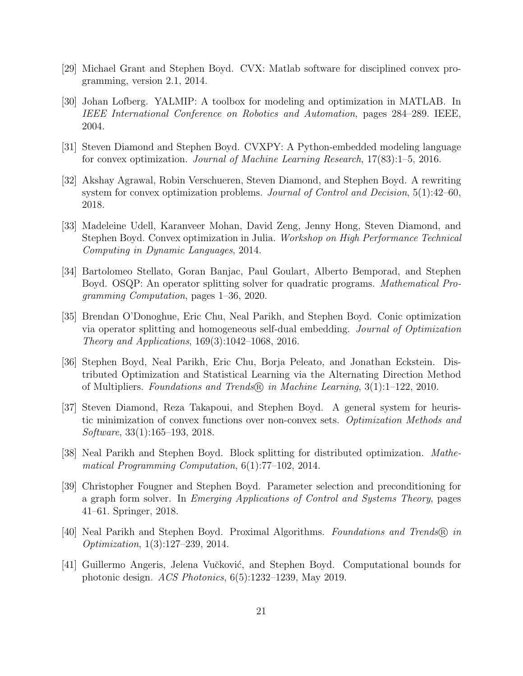- <span id="page-20-0"></span>[29] Michael Grant and Stephen Boyd. CVX: Matlab software for disciplined convex programming, version 2.1, 2014.
- <span id="page-20-1"></span>[30] Johan Lofberg. YALMIP: A toolbox for modeling and optimization in MATLAB. In IEEE International Conference on Robotics and Automation, pages 284–289. IEEE, 2004.
- <span id="page-20-2"></span>[31] Steven Diamond and Stephen Boyd. CVXPY: A Python-embedded modeling language for convex optimization. Journal of Machine Learning Research, 17(83):1–5, 2016.
- <span id="page-20-3"></span>[32] Akshay Agrawal, Robin Verschueren, Steven Diamond, and Stephen Boyd. A rewriting system for convex optimization problems. Journal of Control and Decision, 5(1):42–60, 2018.
- <span id="page-20-4"></span>[33] Madeleine Udell, Karanveer Mohan, David Zeng, Jenny Hong, Steven Diamond, and Stephen Boyd. Convex optimization in Julia. Workshop on High Performance Technical Computing in Dynamic Languages, 2014.
- <span id="page-20-5"></span>[34] Bartolomeo Stellato, Goran Banjac, Paul Goulart, Alberto Bemporad, and Stephen Boyd. OSQP: An operator splitting solver for quadratic programs. Mathematical Programming Computation, pages 1–36, 2020.
- <span id="page-20-6"></span>[35] Brendan O'Donoghue, Eric Chu, Neal Parikh, and Stephen Boyd. Conic optimization via operator splitting and homogeneous self-dual embedding. Journal of Optimization Theory and Applications, 169(3):1042–1068, 2016.
- <span id="page-20-7"></span>[36] Stephen Boyd, Neal Parikh, Eric Chu, Borja Peleato, and Jonathan Eckstein. Distributed Optimization and Statistical Learning via the Alternating Direction Method of Multipliers. Foundations and Trends $\mathbb R$  in Machine Learning, 3(1):1–122, 2010.
- <span id="page-20-8"></span>[37] Steven Diamond, Reza Takapoui, and Stephen Boyd. A general system for heuristic minimization of convex functions over non-convex sets. Optimization Methods and Software, 33(1):165–193, 2018.
- <span id="page-20-9"></span>[38] Neal Parikh and Stephen Boyd. Block splitting for distributed optimization. Mathematical Programming Computation, 6(1):77–102, 2014.
- <span id="page-20-10"></span>[39] Christopher Fougner and Stephen Boyd. Parameter selection and preconditioning for a graph form solver. In Emerging Applications of Control and Systems Theory, pages 41–61. Springer, 2018.
- <span id="page-20-11"></span>[40] Neal Parikh and Stephen Boyd. Proximal Algorithms. Foundations and Trends <sup>R</sup> in Optimization, 1(3):127–239, 2014.
- <span id="page-20-12"></span>[41] Guillermo Angeris, Jelena Vučković, and Stephen Boyd. Computational bounds for photonic design. ACS Photonics, 6(5):1232–1239, May 2019.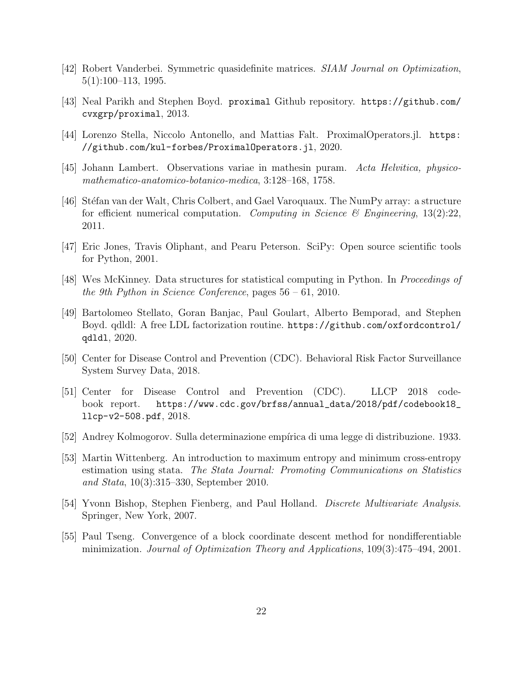- <span id="page-21-0"></span>[42] Robert Vanderbei. Symmetric quasidefinite matrices. SIAM Journal on Optimization, 5(1):100–113, 1995.
- <span id="page-21-1"></span>[43] Neal Parikh and Stephen Boyd. proximal Github repository. [https://github.com/](https://github.com/cvxgrp/proximal) [cvxgrp/proximal](https://github.com/cvxgrp/proximal), 2013.
- <span id="page-21-2"></span>[44] Lorenzo Stella, Niccolo Antonello, and Mattias Falt. ProximalOperators.jl. [https:](https://github.com/kul-forbes/ProximalOperators.jl) [//github.com/kul-forbes/ProximalOperators.jl](https://github.com/kul-forbes/ProximalOperators.jl), 2020.
- <span id="page-21-3"></span>[45] Johann Lambert. Observations variae in mathesin puram. Acta Helvitica, physicomathematico-anatomico-botanico-medica, 3:128–168, 1758.
- <span id="page-21-4"></span>[46] Stéfan van der Walt, Chris Colbert, and Gael Varoquaux. The NumPy array: a structure for efficient numerical computation. Computing in Science & Engineering,  $13(2):22$ , 2011.
- <span id="page-21-5"></span>[47] Eric Jones, Travis Oliphant, and Pearu Peterson. SciPy: Open source scientific tools for Python, 2001.
- <span id="page-21-6"></span>[48] Wes McKinney. Data structures for statistical computing in Python. In Proceedings of the 9th Python in Science Conference, pages 56 – 61, 2010.
- <span id="page-21-7"></span>[49] Bartolomeo Stellato, Goran Banjac, Paul Goulart, Alberto Bemporad, and Stephen Boyd. qdldl: A free LDL factorization routine. [https://github.com/oxfordcontrol/](https://github.com/oxfordcontrol/qdldl) [qdldl](https://github.com/oxfordcontrol/qdldl), 2020.
- <span id="page-21-8"></span>[50] Center for Disease Control and Prevention (CDC). Behavioral Risk Factor Surveillance System Survey Data, 2018.
- <span id="page-21-9"></span>[51] Center for Disease Control and Prevention (CDC). LLCP 2018 codebook report. [https://www.cdc.gov/brfss/annual\\_data/2018/pdf/codebook18\\_](https://www.cdc.gov/brfss/annual_data/2018/pdf/codebook18_llcp-v2-508.pdf) [llcp-v2-508.pdf](https://www.cdc.gov/brfss/annual_data/2018/pdf/codebook18_llcp-v2-508.pdf), 2018.
- <span id="page-21-10"></span>[52] Andrey Kolmogorov. Sulla determinazione empírica di uma legge di distribuzione. 1933.
- <span id="page-21-11"></span>[53] Martin Wittenberg. An introduction to maximum entropy and minimum cross-entropy estimation using stata. The Stata Journal: Promoting Communications on Statistics and Stata, 10(3):315–330, September 2010.
- <span id="page-21-12"></span>[54] Yvonn Bishop, Stephen Fienberg, and Paul Holland. Discrete Multivariate Analysis. Springer, New York, 2007.
- <span id="page-21-13"></span>[55] Paul Tseng. Convergence of a block coordinate descent method for nondifferentiable minimization. Journal of Optimization Theory and Applications, 109(3):475–494, 2001.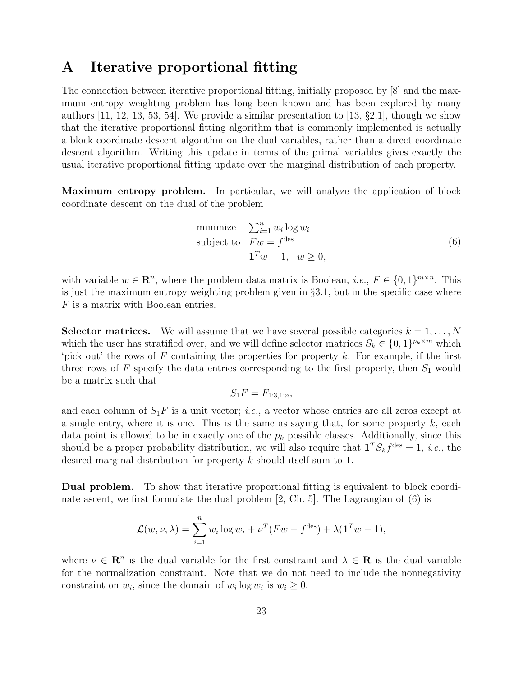### <span id="page-22-0"></span>A Iterative proportional fitting

The connection between iterative proportional fitting, initially proposed by [\[8\]](#page-18-7) and the maximum entropy weighting problem has long been known and has been explored by many authors [\[11,](#page-18-10) [12,](#page-18-11) [13,](#page-18-12) [53,](#page-21-11) [54\]](#page-21-12). We provide a similar presentation to [\[13,](#page-18-12)  $\S 2.1$ ], though we show that the iterative proportional fitting algorithm that is commonly implemented is actually a block coordinate descent algorithm on the dual variables, rather than a direct coordinate descent algorithm. Writing this update in terms of the primal variables gives exactly the usual iterative proportional fitting update over the marginal distribution of each property.

Maximum entropy problem. In particular, we will analyze the application of block coordinate descent on the dual of the problem

<span id="page-22-1"></span>minimize 
$$
\sum_{i=1}^{n} w_i \log w_i
$$
  
subject to  $Fw = f^{\text{des}}$   
 $\mathbf{1}^T w = 1, \quad w \ge 0,$  (6)

with variable  $w \in \mathbb{R}^n$ , where the problem data matrix is Boolean, *i.e.*,  $F \in \{0,1\}^{m \times n}$ . This is just the maximum entropy weighting problem given in §[3.1,](#page-5-0) but in the specific case where F is a matrix with Boolean entries.

**Selector matrices.** We will assume that we have several possible categories  $k = 1, \ldots, N$ which the user has stratified over, and we will define selector matrices  $S_k \in \{0,1\}^{p_k \times m}$  which 'pick out' the rows of  $F$  containing the properties for property  $k$ . For example, if the first three rows of F specify the data entries corresponding to the first property, then  $S_1$  would be a matrix such that

$$
S_1F = F_{1:3,1:n},
$$

and each column of  $S_1F$  is a unit vector; *i.e.*, a vector whose entries are all zeros except at a single entry, where it is one. This is the same as saying that, for some property  $k$ , each data point is allowed to be in exactly one of the  $p_k$  possible classes. Additionally, since this should be a proper probability distribution, we will also require that  $\mathbf{1}^T S_k f^{\text{des}} = 1$ , *i.e.*, the desired marginal distribution for property k should itself sum to 1.

Dual problem. To show that iterative proportional fitting is equivalent to block coordinate ascent, we first formulate the dual problem [\[2,](#page-18-1) Ch. 5]. The Lagrangian of [\(6\)](#page-22-1) is

$$
\mathcal{L}(w, \nu, \lambda) = \sum_{i=1}^{n} w_i \log w_i + \nu^T (Fw - f^{\text{des}}) + \lambda (\mathbf{1}^T w - 1),
$$

where  $\nu \in \mathbb{R}^n$  is the dual variable for the first constraint and  $\lambda \in \mathbb{R}$  is the dual variable for the normalization constraint. Note that we do not need to include the nonnegativity constraint on  $w_i$ , since the domain of  $w_i \log w_i$  is  $w_i \geq 0$ .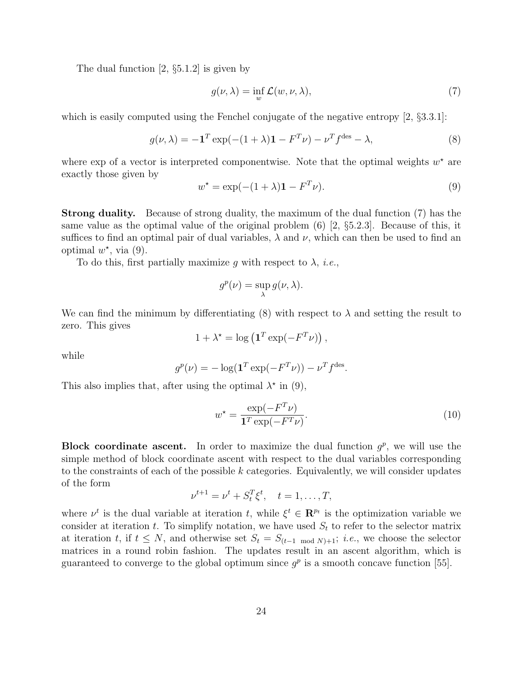The dual function [\[2,](#page-18-1) §5.1.2] is given by

<span id="page-23-0"></span>
$$
g(\nu,\lambda) = \inf_{w} \mathcal{L}(w,\nu,\lambda),\tag{7}
$$

which is easily computed using the Fenchel conjugate of the negative entropy  $(2, \S 3.3.1)$ :

<span id="page-23-2"></span>
$$
g(\nu,\lambda) = -\mathbf{1}^T \exp(-(1+\lambda)\mathbf{1} - F^T \nu) - \nu^T f^{\text{des}} - \lambda,\tag{8}
$$

where exp of a vector is interpreted componentwise. Note that the optimal weights  $w^*$  are exactly those given by

<span id="page-23-1"></span>
$$
w^* = \exp(-(1+\lambda)\mathbf{1} - F^T \nu). \tag{9}
$$

Strong duality. Because of strong duality, the maximum of the dual function [\(7\)](#page-23-0) has the same value as the optimal value of the original problem [\(6\)](#page-22-1) [\[2,](#page-18-1) §5.2.3]. Because of this, it suffices to find an optimal pair of dual variables,  $\lambda$  and  $\nu$ , which can then be used to find an optimal  $w^*$ , via [\(9\)](#page-23-1).

To do this, first partially maximize g with respect to  $\lambda$ , *i.e.*,

$$
g^{p}(\nu) = \sup_{\lambda} g(\nu, \lambda).
$$

We can find the minimum by differentiating  $(8)$  with respect to  $\lambda$  and setting the result to zero. This gives

$$
1 + \lambda^* = \log\left(\mathbf{1}^T \exp(-F^T \nu)\right)
$$

while

$$
g^{p}(\nu) = -\log(\mathbf{1}^{T} \exp(-F^{T}\nu)) - \nu^{T} f^{\text{des}}.
$$

This also implies that, after using the optimal  $\lambda^*$  in [\(9\)](#page-23-1),

<span id="page-23-3"></span>
$$
w^* = \frac{\exp(-F^T \nu)}{\mathbf{1}^T \exp(-F^T \nu)}.
$$
\n(10)

,

**Block coordinate ascent.** In order to maximize the dual function  $g^p$ , we will use the simple method of block coordinate ascent with respect to the dual variables corresponding to the constraints of each of the possible  $k$  categories. Equivalently, we will consider updates of the form

$$
\nu^{t+1} = \nu^t + S_t^T \xi^t, \quad t = 1, \dots, T,
$$

where  $\nu^t$  is the dual variable at iteration t, while  $\xi^t \in \mathbb{R}^{p_t}$  is the optimization variable we consider at iteration t. To simplify notation, we have used  $S_t$  to refer to the selector matrix at iteration t, if  $t \leq N$ , and otherwise set  $S_t = S_{(t-1 \mod N)+1}; i.e.,$  we choose the selector matrices in a round robin fashion. The updates result in an ascent algorithm, which is guaranteed to converge to the global optimum since  $g<sup>p</sup>$  is a smooth concave function [\[55\]](#page-21-13).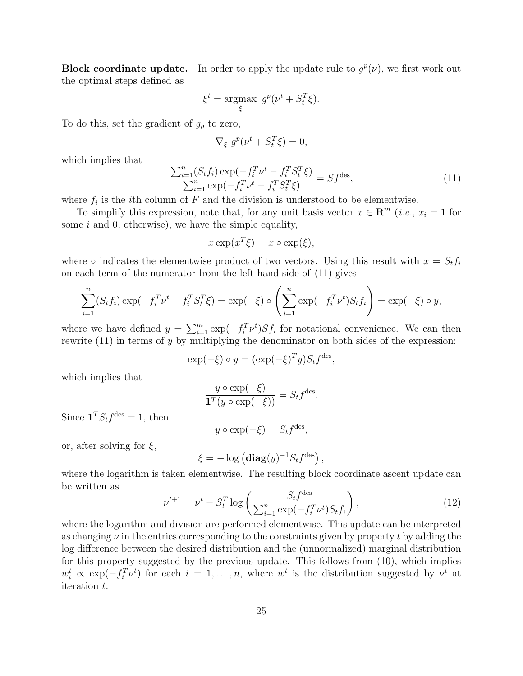**Block coordinate update.** In order to apply the update rule to  $g^p(\nu)$ , we first work out the optimal steps defined as

$$
\xi^t = \underset{\xi}{\text{argmax}} \ g^p(\nu^t + S_t^T \xi).
$$

To do this, set the gradient of  $g_p$  to zero,

$$
\nabla_{\xi} g^p(\nu^t + S_t^T \xi) = 0,
$$

which implies that

<span id="page-24-0"></span>
$$
\frac{\sum_{i=1}^{n} (S_t f_i) \exp(-f_i^T \nu^t - f_i^T S_t^T \xi)}{\sum_{i=1}^{n} \exp(-f_i^T \nu^t - f_i^T S_t^T \xi)} = Sf^{\text{des}},
$$
\n(11)

where  $f_i$  is the *i*th column of  $F$  and the division is understood to be elementwise.

To simplify this expression, note that, for any unit basis vector  $x \in \mathbb{R}^m$  (*i.e.*,  $x_i = 1$  for some  $i$  and  $0$ , otherwise), we have the simple equality,

$$
x \exp(x^T \xi) = x \circ \exp(\xi),
$$

where  $\circ$  indicates the elementwise product of two vectors. Using this result with  $x = S_t f_i$ on each term of the numerator from the left hand side of [\(11\)](#page-24-0) gives

$$
\sum_{i=1}^{n} (S_t f_i) \exp(-f_i^T \nu^t - f_i^T S_t^T \xi) = \exp(-\xi) \circ \left(\sum_{i=1}^{n} \exp(-f_i^T \nu^t) S_t f_i\right) = \exp(-\xi) \circ y,
$$

where we have defined  $y = \sum_{i=1}^{m} \exp(-f_i^T \nu^t) S f_i$  for notational convenience. We can then rewrite  $(11)$  in terms of y by multiplying the denominator on both sides of the expression:

$$
\exp(-\xi) \circ y = (\exp(-\xi)^T y) S_t f^{\text{des}},
$$

which implies that

$$
\frac{y \circ \exp(-\xi)}{\mathbf{1}^T (y \circ \exp(-\xi))} = S_t f^{\text{des}}.
$$

Since  $\mathbf{1}^T S_t f^{\text{des}} = 1$ , then

$$
y \circ \exp(-\xi) = S_t f^{\text{des}},
$$

or, after solving for  $\xi$ ,

$$
\xi = -\log\left(\mathbf{diag}(y)^{-1}S_tf^{\text{des}}\right),\,
$$

where the logarithm is taken elementwise. The resulting block coordinate ascent update can be written as

<span id="page-24-1"></span>
$$
\nu^{t+1} = \nu^t - S_t^T \log \left( \frac{S_t f^{des}}{\sum_{i=1}^n \exp(-f_i^T \nu^t) S_t f_i} \right),\tag{12}
$$

where the logarithm and division are performed elementwise. This update can be interpreted as changing  $\nu$  in the entries corresponding to the constraints given by property t by adding the log difference between the desired distribution and the (unnormalized) marginal distribution for this property suggested by the previous update. This follows from [\(10\)](#page-23-3), which implies  $w_i^t \propto \exp(-f_i^T \nu^t)$  for each  $i = 1, \ldots, n$ , where  $w^t$  is the distribution suggested by  $\nu^t$  at iteration t.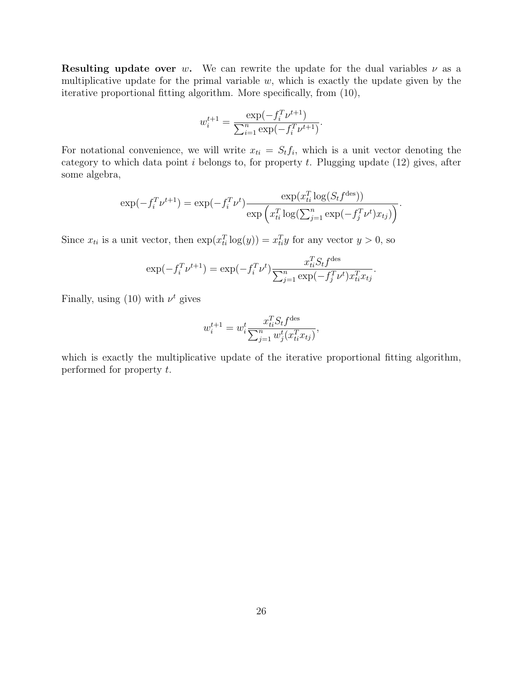**Resulting update over w.** We can rewrite the update for the dual variables  $\nu$  as a multiplicative update for the primal variable  $w$ , which is exactly the update given by the iterative proportional fitting algorithm. More specifically, from [\(10\)](#page-23-3),

$$
w_i^{t+1} = \frac{\exp(-f_i^T \nu^{t+1})}{\sum_{i=1}^n \exp(-f_i^T \nu^{t+1})}.
$$

For notational convenience, we will write  $x_{ti} = S_t f_i$ , which is a unit vector denoting the category to which data point  $i$  belongs to, for property  $t$ . Plugging update [\(12\)](#page-24-1) gives, after some algebra,

$$
\exp(-f_i^T \nu^{t+1}) = \exp(-f_i^T \nu^t) \frac{\exp(x_{ti}^T \log(S_t f^{des}))}{\exp\left(x_{ti}^T \log(\sum_{j=1}^n \exp(-f_j^T \nu^t) x_{tj})\right)}.
$$

Since  $x_{ti}$  is a unit vector, then  $\exp(x_{ti}^T \log(y)) = x_{ti}^T y$  for any vector  $y > 0$ , so

$$
\exp(-f_i^T \nu^{t+1}) = \exp(-f_i^T \nu^t) \frac{x_{ti}^T S_t f^{des}}{\sum_{j=1}^n \exp(-f_j^T \nu^t) x_{ti}^T x_{tj}}.
$$

Finally, using  $(10)$  with  $\nu^t$  gives

$$
w_i^{t+1} = w_i^t \frac{x_{ti}^T S_t f^{des}}{\sum_{j=1}^n w_j^t (x_{ti}^T x_{tj})},
$$

which is exactly the multiplicative update of the iterative proportional fitting algorithm, performed for property t.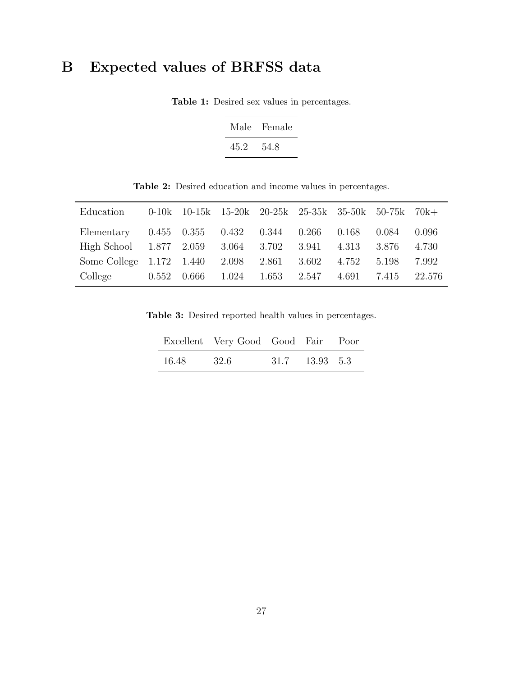# <span id="page-26-0"></span>B Expected values of BRFSS data

| Male | Female |  |  |  |
|------|--------|--|--|--|
| 45.2 | 54.8   |  |  |  |

Table 1: Desired sex values in percentages.

Table 2: Desired education and income values in percentages.

| Education                            |       |       | 0-10k 10-15k 15-20k 20-25k 25-35k 35-50k 50-75k 70k+ |       |       |       |       |        |
|--------------------------------------|-------|-------|------------------------------------------------------|-------|-------|-------|-------|--------|
| Elementary                           |       |       | $0.455$ $0.355$ $0.432$ $0.344$ $0.266$              |       |       | 0.168 | 0.084 | 0.096  |
| High School 1.877 2.059 3.064 3.702  |       |       |                                                      |       | 3.941 | 4.313 | 3.876 | 4.730  |
| Some College 1.172 1.440 2.098 2.861 |       |       |                                                      |       | 3.602 | 4.752 | 5.198 | 7.992  |
| College                              | 0.552 | 0.666 | 1.024                                                | 1.653 | 2.547 | 4.691 | 7.415 | 22.576 |

Table 3: Desired reported health values in percentages.

|       | Excellent Very Good Good Fair Poor |                |  |
|-------|------------------------------------|----------------|--|
| 16.48 | 32.6                               | 31.7 13.93 5.3 |  |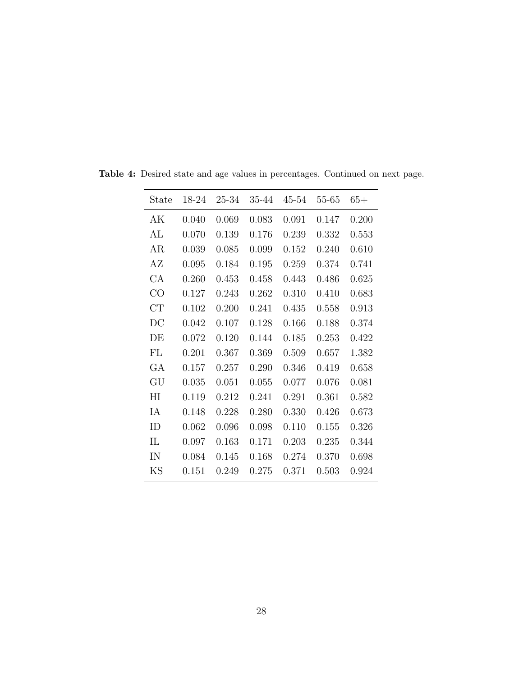| State                  | 18-24 | 25-34 | 35-44 | 45-54 | 55-65 | $65+$ |
|------------------------|-------|-------|-------|-------|-------|-------|
| АK                     | 0.040 | 0.069 | 0.083 | 0.091 | 0.147 | 0.200 |
| AL                     | 0.070 | 0.139 | 0.176 | 0.239 | 0.332 | 0.553 |
| AR                     | 0.039 | 0.085 | 0.099 | 0.152 | 0.240 | 0.610 |
| AΖ                     | 0.095 | 0.184 | 0.195 | 0.259 | 0.374 | 0.741 |
| CA                     | 0.260 | 0.453 | 0.458 | 0.443 | 0.486 | 0.625 |
| CO                     | 0.127 | 0.243 | 0.262 | 0.310 | 0.410 | 0.683 |
| CT                     | 0.102 | 0.200 | 0.241 | 0.435 | 0.558 | 0.913 |
| $\overline{\text{DC}}$ | 0.042 | 0.107 | 0.128 | 0.166 | 0.188 | 0.374 |
| DE                     | 0.072 | 0.120 | 0.144 | 0.185 | 0.253 | 0.422 |
| FL                     | 0.201 | 0.367 | 0.369 | 0.509 | 0.657 | 1.382 |
| GА                     | 0.157 | 0.257 | 0.290 | 0.346 | 0.419 | 0.658 |
| GU                     | 0.035 | 0.051 | 0.055 | 0.077 | 0.076 | 0.081 |
| ΗI                     | 0.119 | 0.212 | 0.241 | 0.291 | 0.361 | 0.582 |
| IA                     | 0.148 | 0.228 | 0.280 | 0.330 | 0.426 | 0.673 |
| ID                     | 0.062 | 0.096 | 0.098 | 0.110 | 0.155 | 0.326 |
| IL                     | 0.097 | 0.163 | 0.171 | 0.203 | 0.235 | 0.344 |
| IN                     | 0.084 | 0.145 | 0.168 | 0.274 | 0.370 | 0.698 |
| ΚS                     | 0.151 | 0.249 | 0.275 | 0.371 | 0.503 | 0.924 |

Table 4: Desired state and age values in percentages. Continued on next page.